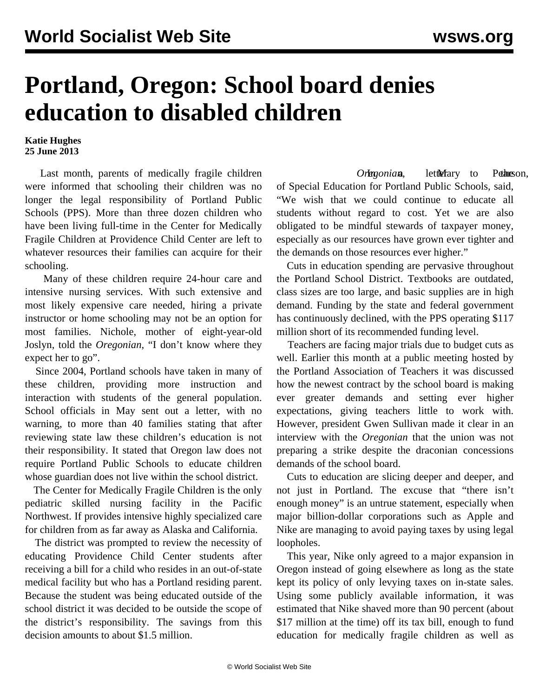## **Portland, Oregon: School board denies education to disabled children**

## **Katie Hughes 25 June 2013**

 Last month, parents of medically fragile children were informed that schooling their children was no longer the legal responsibility of Portland Public Schools (PPS). More than three dozen children who have been living full-time in the Center for Medically Fragile Children at Providence Child Center are left to whatever resources their families can acquire for their schooling.

 Many of these children require 24-hour care and intensive nursing services. With such extensive and most likely expensive care needed, hiring a private instructor or home schooling may not be an option for most families. Nichole, mother of eight-year-old Joslyn, told the *Oregonian*, "I don't know where they expect her to go".

 Since 2004, Portland schools have taken in many of these children, providing more instruction and interaction with students of the general population. School officials in May sent out a letter, with no warning, to more than 40 families stating that after reviewing state law these children's education is not their responsibility. It stated that Oregon law does not require Portland Public Schools to educate children whose guardian does not live within the school district.

 The Center for Medically Fragile Children is the only pediatric skilled nursing facility in the Pacific Northwest. If provides intensive highly specialized care for children from as far away as Alaska and California.

 The district was prompted to review the necessity of educating Providence Child Center students after receiving a bill for a child who resides in an out-of-state medical facility but who has a Portland residing parent. Because the student was being educated outside of the school district it was decided to be outside the scope of the district's responsibility. The savings from this decision amounts to about \$1.5 million.

*Orlegonian*, lettlefary to Pethneson, of Special Education for Portland Public Schools, said, "We wish that we could continue to educate all students without regard to cost. Yet we are also obligated to be mindful stewards of taxpayer money, especially as our resources have grown ever tighter and the demands on those resources ever higher."

 Cuts in education spending are pervasive throughout the Portland School District. Textbooks are outdated, class sizes are too large, and basic supplies are in high demand. Funding by the state and federal government has continuously declined, with the PPS operating \$117 million short of its recommended funding level.

 Teachers are facing major trials due to budget cuts as well. Earlier this month at a public meeting hosted by the Portland Association of Teachers it was discussed how the newest contract by the school board is making ever greater demands and setting ever higher expectations, giving teachers little to work with. However, president Gwen Sullivan made it clear in an interview with the *Oregonian* that the union was not preparing a strike despite the draconian concessions demands of the school board.

 Cuts to education are slicing deeper and deeper, and not just in Portland. The excuse that "there isn't enough money" is an untrue statement, especially when major billion-dollar corporations such as Apple and Nike are managing to avoid paying taxes by using legal loopholes.

 This year, Nike only agreed to a major expansion in Oregon instead of going elsewhere as long as the state kept its policy of only levying taxes on in-state sales. Using some publicly available information, it was estimated that Nike shaved more than 90 percent (about \$17 million at the time) off its tax bill, enough to fund education for medically fragile children as well as